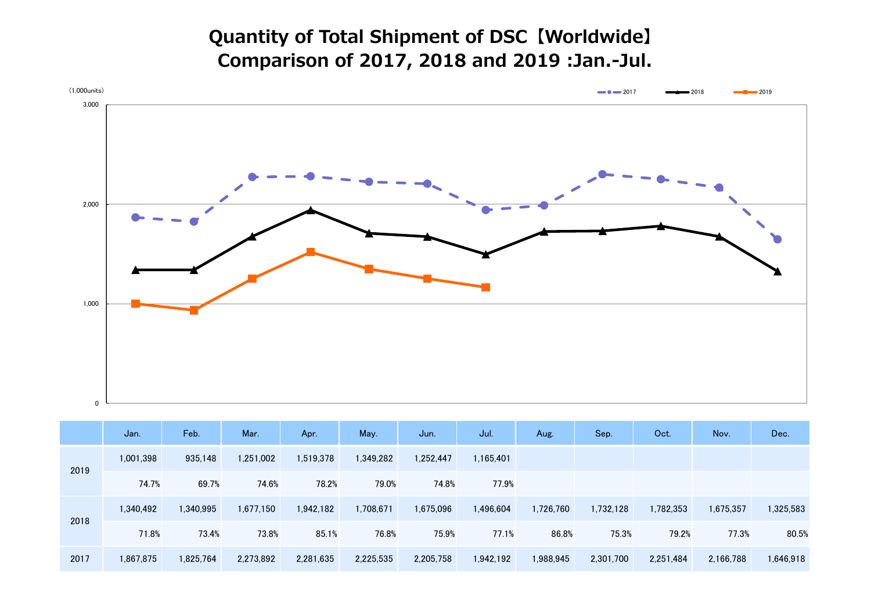**Quantity of Total Shipment of DSC【Worldwide】 Comparison of 2017, 2018 and 2019 :Jan.-Jul.**



|      | Jan.      | Feb.      | Mar.      | Apr.      | May.      | Jun.      | Jul.      | Aug.      | Sep.      | Oct.      | Nov.      | Dec.      |
|------|-----------|-----------|-----------|-----------|-----------|-----------|-----------|-----------|-----------|-----------|-----------|-----------|
| 2019 | 1,001,398 | 935,148   | 1,251,002 | 1,519,378 | 1,349,282 | 1,252,447 | 1,165,401 |           |           |           |           |           |
|      | 74.7%     | 69.7%     | 74.6%     | 78.2%     | 79.0%     | 74.8%     | 77.9%     |           |           |           |           |           |
| 2018 | 1,340,492 | 1,340,995 | 1,677,150 | 1,942,182 | 1,708,671 | 1,675,096 | 1,496,604 | 1,726,760 | 1,732,128 | 1,782,353 | 1,675,357 | 1,325,583 |
|      | 71.8%     | 73.4%     | 73.8%     | 85.1%     | 76.8%     | 75.9%     | 77.1%     | 86.8%     | 75.3%     | 79.2%     | 77.3%     | 80.5%     |
| 2017 | 1,867,875 | 1,825,764 | 2,273,892 | 2,281,635 | 2,225,535 | 2,205,758 | 1,942,192 | 1,988,945 | 2,301,700 | 2,251,484 | 2,166,788 | 1,646,918 |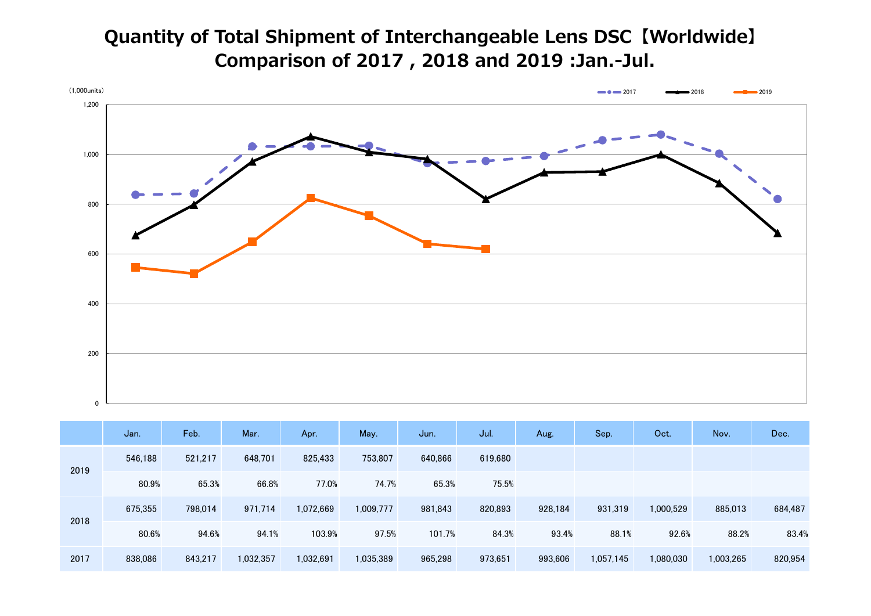## **Quantity of Total Shipment of Interchangeable Lens DSC【Worldwide】 Comparison of 2017 , 2018 and 2019 :Jan.-Jul.**



|      | Jan.    | Feb.    | Mar.      | Apr.      | May.      | Jun.    | Jul.    | Aug.    | Sep.      | Oct.      | Nov.      | Dec.    |
|------|---------|---------|-----------|-----------|-----------|---------|---------|---------|-----------|-----------|-----------|---------|
| 2019 | 546.188 | 521,217 | 648.701   | 825,433   | 753,807   | 640,866 | 619,680 |         |           |           |           |         |
|      | 80.9%   | 65.3%   | 66.8%     | 77.0%     | 74.7%     | 65.3%   | 75.5%   |         |           |           |           |         |
| 2018 | 675,355 | 798,014 | 971.714   | 1,072,669 | 1,009,777 | 981,843 | 820,893 | 928,184 | 931,319   | 1,000,529 | 885,013   | 684,487 |
|      | 80.6%   | 94.6%   | 94.1%     | 103.9%    | 97.5%     | 101.7%  | 84.3%   | 93.4%   | 88.1%     | 92.6%     | 88.2%     | 83.4%   |
| 2017 | 838,086 | 843,217 | 1,032,357 | 1,032,691 | 1,035,389 | 965,298 | 973,651 | 993,606 | 1,057,145 | 1,080,030 | 1,003,265 | 820,954 |